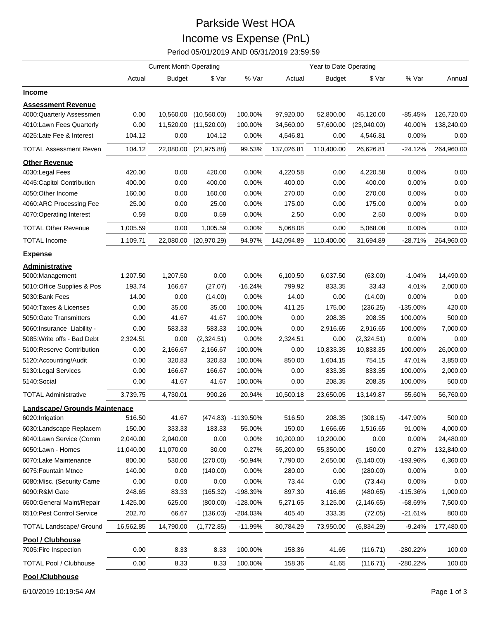## Parkside West HOA Income vs Expense (PnL)

Period 05/01/2019 AND 05/31/2019 23:59:59

| Year to Date Operating<br><b>Current Month Operating</b>                                                                    |            |            |
|-----------------------------------------------------------------------------------------------------------------------------|------------|------------|
| % Var<br>Actual<br><b>Budget</b><br>\$ Var<br>Actual<br><b>Budget</b><br>\$ Var                                             | % Var      | Annual     |
| <b>Income</b>                                                                                                               |            |            |
| <b>Assessment Revenue</b>                                                                                                   |            |            |
| 4000:Quarterly Assessmen<br>0.00<br>10,560.00<br>(10, 560.00)<br>100.00%<br>97,920.00<br>52,800.00<br>45,120.00             | $-85.45%$  | 126,720.00 |
| 4010:Lawn Fees Quarterly<br>34,560.00<br>0.00<br>11,520.00<br>(11,520.00)<br>100.00%<br>57,600.00<br>(23,040.00)            | 40.00%     | 138,240.00 |
| 4025:Late Fee & Interest<br>104.12<br>0.00<br>104.12<br>0.00%<br>4,546.81<br>0.00<br>4,546.81                               | 0.00%      | 0.00       |
| 104.12<br>22,080.00<br>99.53%<br>110,400.00<br><b>TOTAL Assessment Reven</b><br>(21, 975.88)<br>137,026.81<br>26,626.81     | $-24.12%$  | 264,960.00 |
| <b>Other Revenue</b>                                                                                                        |            |            |
| 4030: Legal Fees<br>420.00<br>0.00<br>420.00<br>0.00%<br>4,220.58<br>0.00<br>4,220.58                                       | 0.00%      | 0.00       |
| 4045:Capitol Contribution<br>400.00<br>0.00<br>400.00<br>0.00%<br>400.00<br>0.00<br>400.00                                  | 0.00%      | 0.00       |
| 160.00<br>0.00<br>270.00<br>4050:Other Income<br>160.00<br>0.00<br>$0.00\%$<br>270.00                                       | 0.00%      | 0.00       |
| 0.00%<br>0.00<br>4060:ARC Processing Fee<br>25.00<br>0.00<br>25.00<br>175.00<br>175.00                                      | 0.00%      | 0.00       |
| 0.59<br>2.50<br>4070:Operating Interest<br>0.59<br>0.00<br>0.00%<br>0.00<br>2.50                                            | 0.00%      | 0.00       |
| 1,005.59<br>1,005.59<br>0.00%<br>5,068.08<br>0.00<br>5,068.08<br><b>TOTAL Other Revenue</b><br>0.00                         | 0.00%      | 0.00       |
| 1,109.71<br>94.97%<br>110,400.00<br><b>TOTAL Income</b><br>22,080.00<br>(20, 970.29)<br>142,094.89<br>31,694.89             | $-28.71%$  | 264,960.00 |
| <b>Expense</b>                                                                                                              |            |            |
| Administrative                                                                                                              |            |            |
| 0.00<br>0.00%<br>1,207.50<br>1,207.50<br>6,100.50<br>6,037.50<br>(63.00)<br>5000:Management                                 | $-1.04%$   | 14,490.00  |
| 5010:Office Supplies & Pos<br>193.74<br>166.67<br>$-16.24%$<br>799.92<br>833.35<br>33.43<br>(27.07)                         | 4.01%      | 2,000.00   |
| 5030:Bank Fees<br>14.00<br>0.00<br>0.00%<br>14.00<br>0.00<br>(14.00)<br>(14.00)                                             | 0.00%      | 0.00       |
| 5040: Taxes & Licenses<br>0.00<br>35.00<br>100.00%<br>411.25<br>175.00<br>35.00<br>(236.25)                                 | $-135.00%$ | 420.00     |
| 0.00<br>41.67<br>41.67<br>0.00<br>208.35<br>5050: Gate Transmitters<br>100.00%<br>208.35                                    | 100.00%    | 500.00     |
| 0.00<br>583.33<br>100.00%<br>0.00<br>2,916.65<br>2,916.65<br>5060: Insurance Liability -<br>583.33                          | 100.00%    | 7,000.00   |
| 0.00%<br>5085: Write offs - Bad Debt<br>2,324.51<br>0.00<br>(2,324.51)<br>2,324.51<br>0.00<br>(2,324.51)                    | $0.00\%$   | 0.00       |
| 2,166.67<br>0.00<br>10,833.35<br>5100:Reserve Contribution<br>0.00<br>2,166.67<br>100.00%<br>10,833.35                      | 100.00%    | 26,000.00  |
| 0.00<br>320.83<br>320.83<br>100.00%<br>850.00<br>1,604.15<br>754.15<br>5120:Accounting/Audit                                | 47.01%     | 3,850.00   |
| 0.00<br>166.67<br>166.67<br>100.00%<br>0.00<br>833.35<br>833.35<br>5130: Legal Services                                     | 100.00%    | 2,000.00   |
| 5140:Social<br>41.67<br>0.00<br>0.00<br>41.67<br>100.00%<br>208.35<br>208.35                                                | 100.00%    | 500.00     |
| 3,739.75<br>990.26<br>20.94%<br>10,500.18<br><b>TOTAL Administrative</b><br>4,730.01<br>23,650.05<br>13,149.87              | 55.60%     | 56,760.00  |
| <b>Landscape/ Grounds Maintenace</b>                                                                                        |            |            |
| 516.50<br>41.67<br>516.50<br>208.35<br>(308.15)<br>6020: Irrigation<br>(474.83) -1139.50%                                   | -147.90%   | 500.00     |
| 150.00<br>333.33<br>183.33<br>150.00<br>1,666.65<br>1,516.65<br>6030:Landscape Replacem<br>55.00%                           | 91.00%     | 4,000.00   |
| 2,040.00<br>2,040.00<br>0.00<br>0.00%<br>10,200.00<br>6040:Lawn Service (Comm<br>10,200.00<br>0.00                          | 0.00%      | 24,480.00  |
| 11,040.00<br>11,070.00<br>30.00<br>0.27%<br>55,200.00<br>6050:Lawn - Homes<br>55,350.00<br>150.00                           | 0.27%      | 132,840.00 |
| 800.00<br>530.00<br>(270.00)<br>$-50.94%$<br>(5, 140.00)<br>6070:Lake Maintenance<br>7,790.00<br>2,650.00                   | -193.96%   | 6,360.00   |
| 280.00<br>6075: Fountain Mtnce<br>140.00<br>0.00<br>(140.00)<br>0.00%<br>0.00<br>(280.00)                                   | 0.00%      | 0.00       |
| 0.00<br>0.00<br>0.00<br>0.00%<br>73.44<br>0.00<br>6080: Misc. (Security Came<br>(73.44)                                     | 0.00%      | 0.00       |
| 6090:R&M Gate<br>248.65<br>-198.39%<br>897.30<br>83.33<br>(165.32)<br>416.65<br>(480.65)                                    | -115.36%   | 1,000.00   |
|                                                                                                                             |            |            |
| 6500: General Maint/Repair<br>1,425.00<br>625.00<br>(800.00)<br>$-128.00%$<br>5,271.65<br>3,125.00<br>(2, 146.65)           | $-68.69%$  | 7,500.00   |
| 6510: Pest Control Service<br>202.70<br>66.67<br>(136.03)<br>405.40<br>333.35<br>$-204.03%$<br>(72.05)                      | $-21.61%$  | 800.00     |
| <b>TOTAL Landscape/ Ground</b><br>16,562.85<br>14,790.00<br>(1,772.85)<br>$-11.99%$<br>80,784.29<br>73,950.00<br>(6,834.29) | $-9.24%$   | 177,480.00 |
| Pool / Clubhouse                                                                                                            |            |            |
| 0.00<br>100.00%<br>158.36<br>7005: Fire Inspection<br>8.33<br>8.33<br>41.65<br>(116.71)                                     | -280.22%   | 100.00     |

**Pool /Clubhouse** 

6/10/2019 10:19:54 AM Page 1 of 3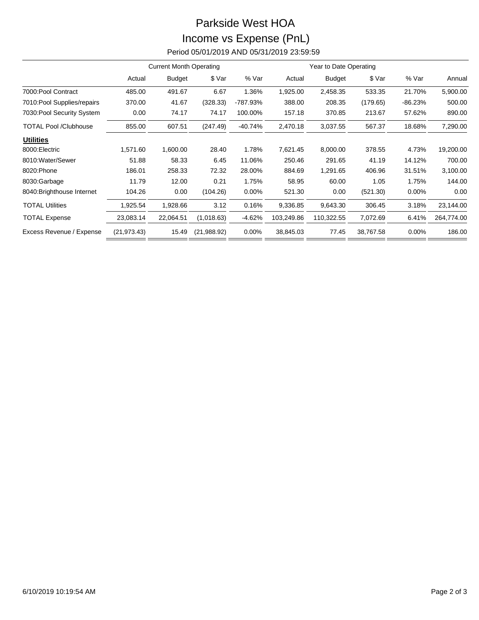## Parkside West HOA Income vs Expense (PnL) Period 05/01/2019 AND 05/31/2019 23:59:59

|                              | <b>Current Month Operating</b> |               |             |           | Year to Date Operating |               |           |           |            |
|------------------------------|--------------------------------|---------------|-------------|-----------|------------------------|---------------|-----------|-----------|------------|
|                              | Actual                         | <b>Budget</b> | \$ Var      | % Var     | Actual                 | <b>Budget</b> | \$ Var    | % Var     | Annual     |
| 7000: Pool Contract          | 485.00                         | 491.67        | 6.67        | 1.36%     | 1,925.00               | 2,458.35      | 533.35    | 21.70%    | 5,900.00   |
| 7010: Pool Supplies/repairs  | 370.00                         | 41.67         | (328.33)    | -787.93%  | 388.00                 | 208.35        | (179.65)  | $-86.23%$ | 500.00     |
| 7030: Pool Security System   | 0.00                           | 74.17         | 74.17       | 100.00%   | 157.18                 | 370.85        | 213.67    | 57.62%    | 890.00     |
| <b>TOTAL Pool /Clubhouse</b> | 855.00                         | 607.51        | (247.49)    | $-40.74%$ | 2,470.18               | 3,037.55      | 567.37    | 18.68%    | 7,290.00   |
| <b>Utilities</b>             |                                |               |             |           |                        |               |           |           |            |
| 8000: Electric               | 1,571.60                       | 1,600.00      | 28.40       | 1.78%     | 7,621.45               | 8,000.00      | 378.55    | 4.73%     | 19,200.00  |
| 8010: Water/Sewer            | 51.88                          | 58.33         | 6.45        | 11.06%    | 250.46                 | 291.65        | 41.19     | 14.12%    | 700.00     |
| 8020:Phone                   | 186.01                         | 258.33        | 72.32       | 28.00%    | 884.69                 | 1,291.65      | 406.96    | 31.51%    | 3,100.00   |
| 8030:Garbage                 | 11.79                          | 12.00         | 0.21        | 1.75%     | 58.95                  | 60.00         | 1.05      | 1.75%     | 144.00     |
| 8040: Brighthouse Internet   | 104.26                         | 0.00          | (104.26)    | $0.00\%$  | 521.30                 | 0.00          | (521.30)  | $0.00\%$  | 0.00       |
| <b>TOTAL Utilities</b>       | 1,925.54                       | 1,928.66      | 3.12        | 0.16%     | 9,336.85               | 9,643.30      | 306.45    | 3.18%     | 23,144.00  |
| <b>TOTAL Expense</b>         | 23,083.14                      | 22,064.51     | (1,018.63)  | $-4.62%$  | 103,249.86             | 110,322.55    | 7,072.69  | 6.41%     | 264,774.00 |
| Excess Revenue / Expense     | (21, 973.43)                   | 15.49         | (21,988.92) | 0.00%     | 38,845.03              | 77.45         | 38,767.58 | 0.00%     | 186.00     |